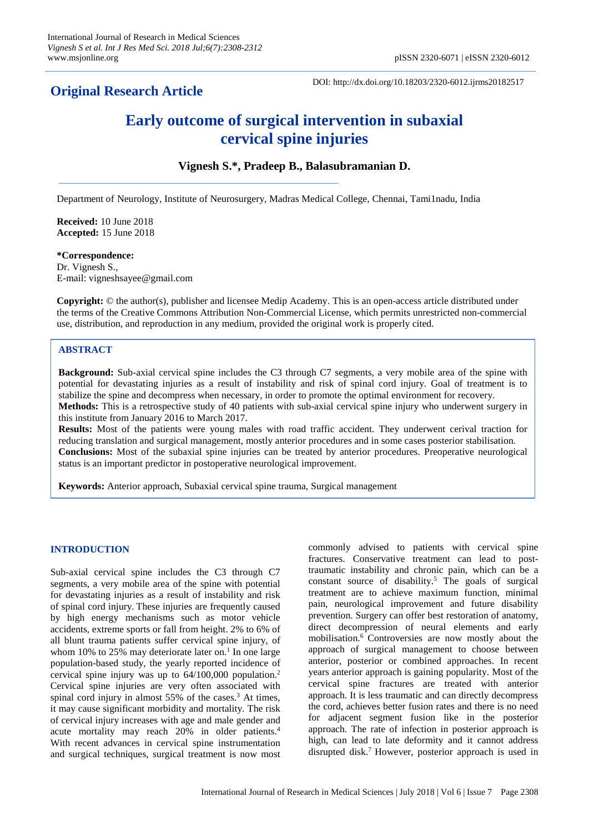# **Original Research Article**

DOI: http://dx.doi.org/10.18203/2320-6012.ijrms20182517

# **Early outcome of surgical intervention in subaxial cervical spine injuries**

### **Vignesh S.\*, Pradeep B., Balasubramanian D.**

Department of Neurology, Institute of Neurosurgery, Madras Medical College, Chennai, Tami1nadu, India

**Received:** 10 June 2018 **Accepted:** 15 June 2018

#### **\*Correspondence:**

Dr. Vignesh S., E-mail: vigneshsayee@gmail.com

**Copyright:** © the author(s), publisher and licensee Medip Academy. This is an open-access article distributed under the terms of the Creative Commons Attribution Non-Commercial License, which permits unrestricted non-commercial use, distribution, and reproduction in any medium, provided the original work is properly cited.

#### **ABSTRACT**

**Background:** Sub-axial cervical spine includes the C3 through C7 segments, a very mobile area of the spine with potential for devastating injuries as a result of instability and risk of spinal cord injury. Goal of treatment is to stabilize the spine and decompress when necessary, in order to promote the optimal environment for recovery. **Methods:** This is a retrospective study of 40 patients with sub-axial cervical spine injury who underwent surgery in this institute from January 2016 to March 2017.

**Results:** Most of the patients were young males with road traffic accident. They underwent cerival traction for reducing translation and surgical management, mostly anterior procedures and in some cases posterior stabilisation. **Conclusions:** Most of the subaxial spine injuries can be treated by anterior procedures. Preoperative neurological status is an important predictor in postoperative neurological improvement.

**Keywords:** Anterior approach, Subaxial cervical spine trauma, Surgical management

#### **INTRODUCTION**

Sub-axial cervical spine includes the C3 through C7 segments, a very mobile area of the spine with potential for devastating injuries as a result of instability and risk of spinal cord injury. These injuries are frequently caused by high energy mechanisms such as motor vehicle accidents, extreme sports or fall from height. 2% to 6% of all blunt trauma patients suffer cervical spine injury, of whom 10% to 25% may deteriorate later on.<sup>1</sup> In one large population-based study, the yearly reported incidence of cervical spine injury was up to 64/100,000 population.<sup>2</sup> Cervical spine injuries are very often associated with spinal cord injury in almost  $55\%$  of the cases.<sup>3</sup> At times, it may cause significant morbidity and mortality. The risk of cervical injury increases with age and male gender and acute mortality may reach 20% in older patients.<sup>4</sup> With recent advances in cervical spine instrumentation and surgical techniques, surgical treatment is now most commonly advised to patients with cervical spine fractures. Conservative treatment can lead to posttraumatic instability and chronic pain, which can be a constant source of disability.<sup>5</sup> The goals of surgical treatment are to achieve maximum function, minimal pain, neurological improvement and future disability prevention. Surgery can offer best restoration of anatomy, direct decompression of neural elements and early mobilisation.<sup>6</sup> Controversies are now mostly about the approach of surgical management to choose between anterior, posterior or combined approaches. In recent years anterior approach is gaining popularity. Most of the cervical spine fractures are treated with anterior approach. It is less traumatic and can directly decompress the cord, achieves better fusion rates and there is no need for adjacent segment fusion like in the posterior approach. The rate of infection in posterior approach is high, can lead to late deformity and it cannot address disrupted disk.<sup>7</sup> However, posterior approach is used in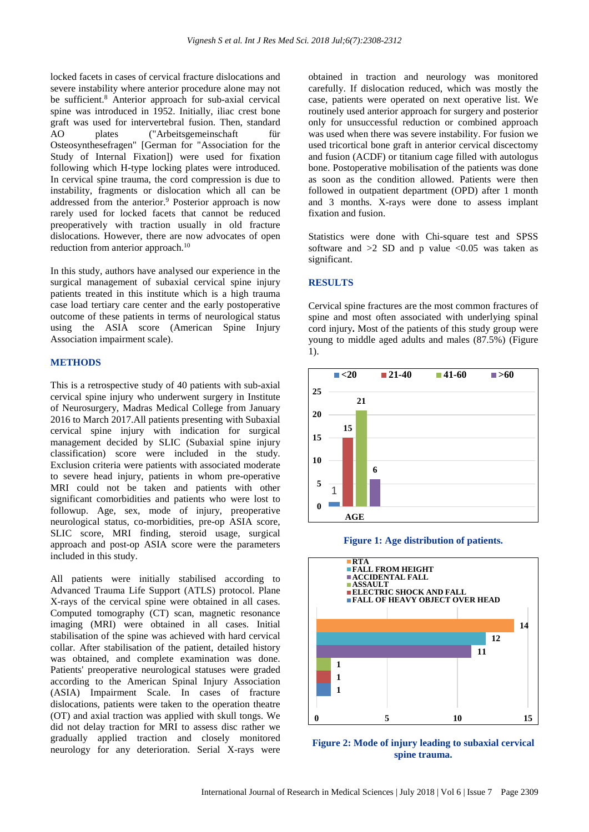locked facets in cases of cervical fracture dislocations and severe instability where anterior procedure alone may not be sufficient.<sup>8</sup> Anterior approach for sub-axial cervical spine was introduced in 1952. Initially, iliac crest bone graft was used for intervertebral fusion. Then, standard AO plates ("Arbeitsgemeinschaft für Osteosynthesefragen" [German for "Association for the Study of Internal Fixation]) were used for fixation following which H-type locking plates were introduced. In cervical spine trauma, the cord compression is due to instability, fragments or dislocation which all can be addressed from the anterior.<sup>9</sup> Posterior approach is now rarely used for locked facets that cannot be reduced preoperatively with traction usually in old fracture dislocations. However, there are now advocates of open reduction from anterior approach.<sup>10</sup>

In this study, authors have analysed our experience in the surgical management of subaxial cervical spine injury patients treated in this institute which is a high trauma case load tertiary care center and the early postoperative outcome of these patients in terms of neurological status using the ASIA score (American Spine Injury Association impairment scale).

#### **METHODS**

This is a retrospective study of 40 patients with sub-axial cervical spine injury who underwent surgery in Institute of Neurosurgery, Madras Medical College from January 2016 to March 2017.All patients presenting with Subaxial cervical spine injury with indication for surgical management decided by SLIC (Subaxial spine injury classification) score were included in the study. Exclusion criteria were patients with associated moderate to severe head injury, patients in whom pre-operative MRI could not be taken and patients with other significant comorbidities and patients who were lost to followup. Age, sex, mode of injury, preoperative neurological status, co-morbidities, pre-op ASIA score, SLIC score, MRI finding, steroid usage, surgical approach and post-op ASIA score were the parameters included in this study.

All patients were initially stabilised according to Advanced Trauma Life Support (ATLS) protocol. Plane X-rays of the cervical spine were obtained in all cases. Computed tomography (CT) scan, magnetic resonance imaging (MRI) were obtained in all cases. Initial stabilisation of the spine was achieved with hard cervical collar. After stabilisation of the patient, detailed history was obtained, and complete examination was done. Patients' preoperative neurological statuses were graded according to the American Spinal Injury Association (ASIA) Impairment Scale. In cases of fracture dislocations, patients were taken to the operation theatre (OT) and axial traction was applied with skull tongs. We did not delay traction for MRI to assess disc rather we gradually applied traction and closely monitored neurology for any deterioration. Serial X-rays were obtained in traction and neurology was monitored carefully. If dislocation reduced, which was mostly the case, patients were operated on next operative list. We routinely used anterior approach for surgery and posterior only for unsuccessful reduction or combined approach was used when there was severe instability. For fusion we used tricortical bone graft in anterior cervical discectomy and fusion (ACDF) or titanium cage filled with autologus bone. Postoperative mobilisation of the patients was done as soon as the condition allowed. Patients were then followed in outpatient department (OPD) after 1 month and 3 months. X-rays were done to assess implant fixation and fusion.

Statistics were done with Chi-square test and SPSS software and  $>2$  SD and p value <0.05 was taken as significant.

#### **RESULTS**

Cervical spine fractures are the most common fractures of spine and most often associated with underlying spinal cord injury**.** Most of the patients of this study group were young to middle aged adults and males (87.5%) (Figure 1).



**Figure 1: Age distribution of patients.**



**Figure 2: Mode of injury leading to subaxial cervical spine trauma.**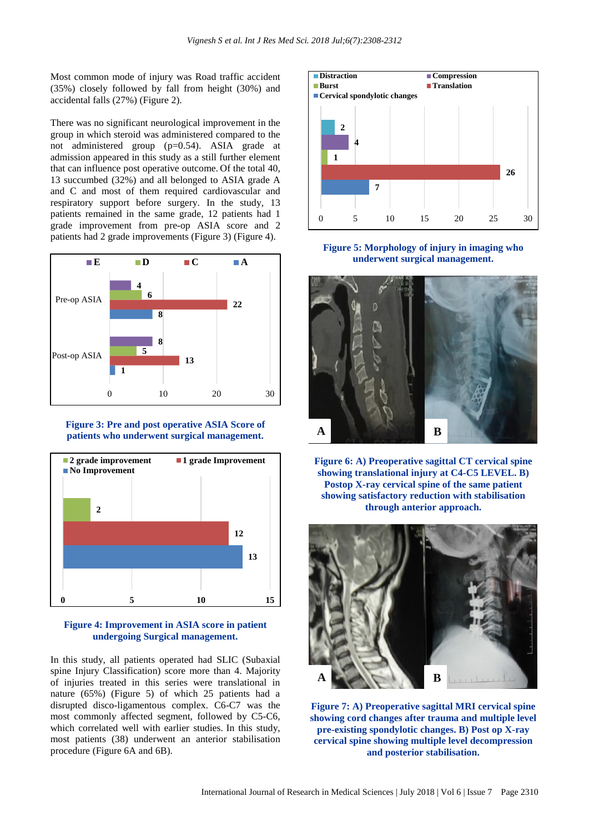Most common mode of injury was Road traffic accident (35%) closely followed by fall from height (30%) and accidental falls (27%) (Figure 2).

There was no significant neurological improvement in the group in which steroid was administered compared to the not administered group (p=0.54). ASIA grade at admission appeared in this study as a still further element that can influence post operative outcome. Of the total 40, 13 succumbed (32%) and all belonged to ASIA grade A and C and most of them required cardiovascular and respiratory support before surgery. In the study, 13 patients remained in the same grade, 12 patients had 1 grade improvement from pre-op ASIA score and 2 patients had 2 grade improvements (Figure 3) (Figure 4).



**Figure 3: Pre and post operative ASIA Score of patients who underwent surgical management.**



## **Figure 4: Improvement in ASIA score in patient undergoing Surgical management.**

In this study, all patients operated had SLIC (Subaxial spine Injury Classification) score more than 4. Majority of injuries treated in this series were translational in nature (65%) (Figure 5) of which 25 patients had a disrupted disco-ligamentous complex. C6-C7 was the most commonly affected segment, followed by C5-C6, which correlated well with earlier studies. In this study, most patients (38) underwent an anterior stabilisation procedure (Figure 6A and 6B).



**Figure 5: Morphology of injury in imaging who underwent surgical management.**



**Figure 6: A) Preoperative sagittal CT cervical spine showing translational injury at C4-C5 LEVEL. B) Postop X-ray cervical spine of the same patient showing satisfactory reduction with stabilisation through anterior approach.**



**Figure 7: A) Preoperative sagittal MRI cervical spine showing cord changes after trauma and multiple level pre-existing spondylotic changes. B) Post op X-ray cervical spine showing multiple level decompression and posterior stabilisation.**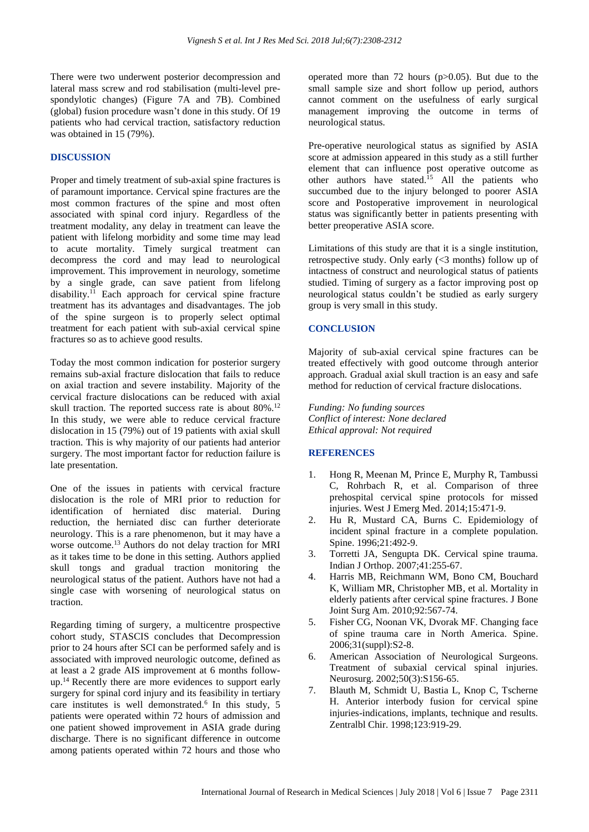There were two underwent posterior decompression and lateral mass screw and rod stabilisation (multi-level prespondylotic changes) (Figure 7A and 7B). Combined (global) fusion procedure wasn't done in this study. Of 19 patients who had cervical traction, satisfactory reduction was obtained in 15 (79%).

#### **DISCUSSION**

Proper and timely treatment of sub-axial spine fractures is of paramount importance. Cervical spine fractures are the most common fractures of the spine and most often associated with spinal cord injury. Regardless of the treatment modality, any delay in treatment can leave the patient with lifelong morbidity and some time may lead to acute mortality. Timely surgical treatment can decompress the cord and may lead to neurological improvement. This improvement in neurology, sometime by a single grade, can save patient from lifelong disability.<sup>11</sup> Each approach for cervical spine fracture treatment has its advantages and disadvantages. The job of the spine surgeon is to properly select optimal treatment for each patient with sub-axial cervical spine fractures so as to achieve good results.

Today the most common indication for posterior surgery remains sub-axial fracture dislocation that fails to reduce on axial traction and severe instability. Majority of the cervical fracture dislocations can be reduced with axial skull traction. The reported success rate is about  $80\%$ .<sup>12</sup> In this study, we were able to reduce cervical fracture dislocation in 15 (79%) out of 19 patients with axial skull traction. This is why majority of our patients had anterior surgery. The most important factor for reduction failure is late presentation.

One of the issues in patients with cervical fracture dislocation is the role of MRI prior to reduction for identification of herniated disc material. During reduction, the herniated disc can further deteriorate neurology. This is a rare phenomenon, but it may have a worse outcome.<sup>13</sup> Authors do not delay traction for MRI as it takes time to be done in this setting. Authors applied skull tongs and gradual traction monitoring the neurological status of the patient. Authors have not had a single case with worsening of neurological status on traction.

Regarding timing of surgery, a multicentre prospective cohort study, STASCIS concludes that Decompression prior to 24 hours after SCI can be performed safely and is associated with improved neurologic outcome, defined as at least a 2 grade AIS improvement at 6 months followup.<sup>14</sup> Recently there are more evidences to support early surgery for spinal cord injury and its feasibility in tertiary care institutes is well demonstrated.<sup>6</sup> In this study, 5 patients were operated within 72 hours of admission and one patient showed improvement in ASIA grade during discharge. There is no significant difference in outcome among patients operated within 72 hours and those who operated more than 72 hours (p>0.05). But due to the small sample size and short follow up period, authors cannot comment on the usefulness of early surgical management improving the outcome in terms of neurological status.

Pre-operative neurological status as signified by ASIA score at admission appeared in this study as a still further element that can influence post operative outcome as other authors have stated.<sup>15</sup> All the patients who succumbed due to the injury belonged to poorer ASIA score and Postoperative improvement in neurological status was significantly better in patients presenting with better preoperative ASIA score.

Limitations of this study are that it is a single institution, retrospective study. Only early (<3 months) follow up of intactness of construct and neurological status of patients studied. Timing of surgery as a factor improving post op neurological status couldn't be studied as early surgery group is very small in this study.

#### **CONCLUSION**

Majority of sub-axial cervical spine fractures can be treated effectively with good outcome through anterior approach. Gradual axial skull traction is an easy and safe method for reduction of cervical fracture dislocations.

*Funding: No funding sources Conflict of interest: None declared Ethical approval: Not required*

#### **REFERENCES**

- 1. Hong R, Meenan M, Prince E, Murphy R, Tambussi C, Rohrbach R, et al. Comparison of three prehospital cervical spine protocols for missed injuries. West J Emerg Med. 2014;15:471-9.
- 2. Hu R, Mustard CA, Burns C. Epidemiology of incident spinal fracture in a complete population. Spine. 1996;21:492-9.
- 3. Torretti JA, Sengupta DK. Cervical spine trauma. Indian J Orthop. 2007;41:255-67.
- 4. Harris MB, Reichmann WM, Bono CM, Bouchard K, William MR, Christopher MB, et al. Mortality in elderly patients after cervical spine fractures. J Bone Joint Surg Am. 2010;92:567-74.
- 5. Fisher CG, Noonan VK, Dvorak MF. Changing face of spine trauma care in North America. Spine. 2006;31(suppl):S2-8.
- 6. American Association of Neurological Surgeons. Treatment of subaxial cervical spinal injuries. Neurosurg. 2002;50(3):S156-65.
- 7. Blauth M, Schmidt U, Bastia L, Knop C, Tscherne H. Anterior interbody fusion for cervical spine injuries-indications, implants, technique and results. Zentralbl Chir. 1998;123:919-29.